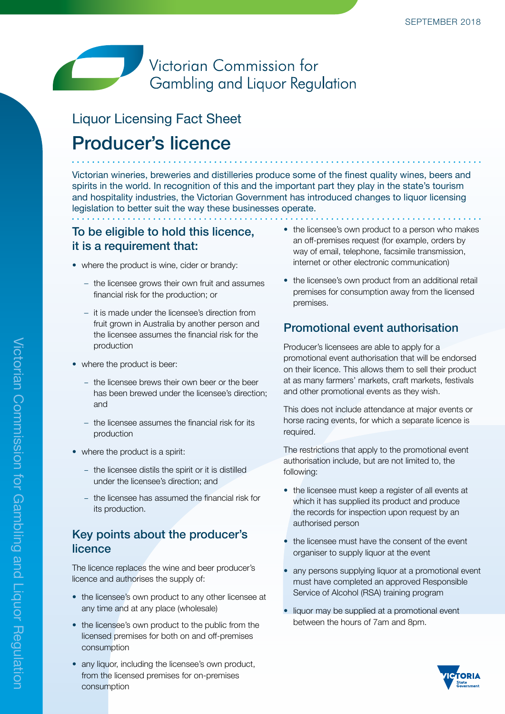## Victorian Commission for Gambling and Liquor Regulation

# Liquor Licensing Fact Sheet Producer's licence

Victorian wineries, breweries and distilleries produce some of the finest quality wines, beers and spirits in the world. In recognition of this and the important part they play in the state's tourism and hospitality industries, the Victorian Government has introduced changes to liquor licensing legislation to better suit the way these businesses operate.

#### To be eligible to hold this licence, it is a requirement that:

- where the product is wine, cider or brandy:
	- the licensee grows their own fruit and assumes financial risk for the production; or
	- it is made under the licensee's direction from fruit grown in Australia by another person and the licensee assumes the financial risk for the production
- where the product is beer:
	- the licensee brews their own beer or the beer has been brewed under the licensee's direction; and
	- the licensee assumes the financial risk for its production
- where the product is a spirit:
	- the licensee distils the spirit or it is distilled under the licensee's direction; and
	- the licensee has assumed the financial risk for its production.

#### Key points about the producer's licence

The licence replaces the wine and beer producer's licence and authorises the supply of:

- the licensee's own product to any other licensee at any time and at any place (wholesale)
- the licensee's own product to the public from the licensed premises for both on and off-premises consumption
- any liquor, including the licensee's own product, from the licensed premises for on-premises consumption
- the licensee's own product to a person who makes an off-premises request (for example, orders by way of email, telephone, facsimile transmission, internet or other electronic communication)
- the licensee's own product from an additional retail premises for consumption away from the licensed premises.

### Promotional event authorisation

Producer's licensees are able to apply for a promotional event authorisation that will be endorsed on their licence. This allows them to sell their product at as many farmers' markets, craft markets, festivals and other promotional events as they wish.

This does not include attendance at major events or horse racing events, for which a separate licence is required.

The restrictions that apply to the promotional event authorisation include, but are not limited to, the following:

- the licensee must keep a register of all events at which it has supplied its product and produce the records for inspection upon request by an authorised person
- the licensee must have the consent of the event organiser to supply liquor at the event
- any persons supplying liquor at a promotional event must have completed an approved Responsible Service of Alcohol (RSA) training program
- liquor may be supplied at a promotional event between the hours of 7am and 8pm.